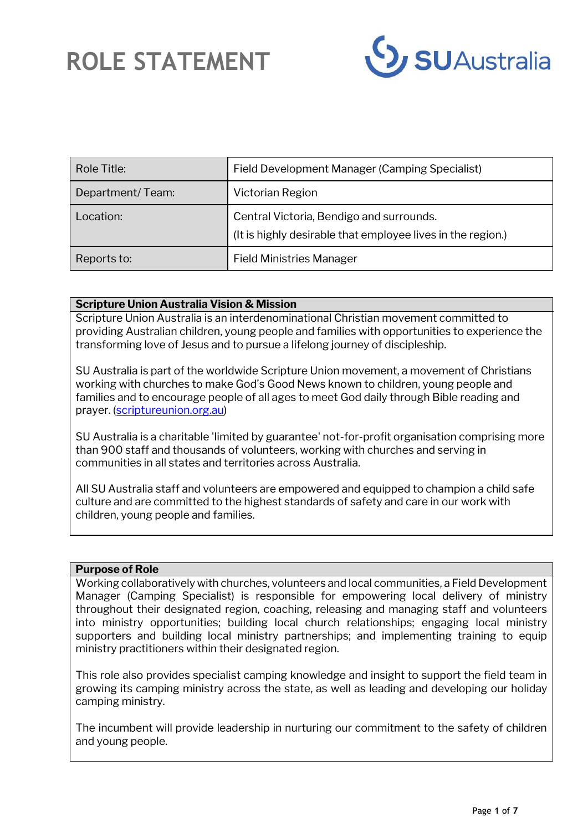

| Role Title:      | Field Development Manager (Camping Specialist)                                                          |
|------------------|---------------------------------------------------------------------------------------------------------|
| Department/Team: | Victorian Region                                                                                        |
| Location:        | Central Victoria, Bendigo and surrounds.<br>(It is highly desirable that employee lives in the region.) |
| Reports to:      | <b>Field Ministries Manager</b>                                                                         |

#### **Scripture Union Australia Vision & Mission**

Scripture Union Australia is an interdenominational Christian movement committed to providing Australian children, young people and families with opportunities to experience the transforming love of Jesus and to pursue a lifelong journey of discipleship.

SU Australia is part of the worldwide Scripture Union movement, a movement of Christians working with churches to make God's Good News known to children, young people and families and to encourage people of all ages to meet God daily through Bible reading and prayer. [\(scriptureunion.org.au\)](https://scriptureunion.org.au/)

SU Australia is a charitable 'limited by guarantee' not-for-profit organisation comprising more than 900 staff and thousands of volunteers, working with churches and serving in communities in all states and territories across Australia.

All SU Australia staff and volunteers are empowered and equipped to champion a child safe culture and are committed to the highest standards of safety and care in our work with children, young people and families.

#### **Purpose of Role**

Working collaboratively with churches, volunteers and local communities, a Field Development Manager (Camping Specialist) is responsible for empowering local delivery of ministry throughout their designated region, coaching, releasing and managing staff and volunteers into ministry opportunities; building local church relationships; engaging local ministry supporters and building local ministry partnerships; and implementing training to equip ministry practitioners within their designated region.

This role also provides specialist camping knowledge and insight to support the field team in growing its camping ministry across the state, as well as leading and developing our holiday camping ministry.

The incumbent will provide leadership in nurturing our commitment to the safety of children and young people.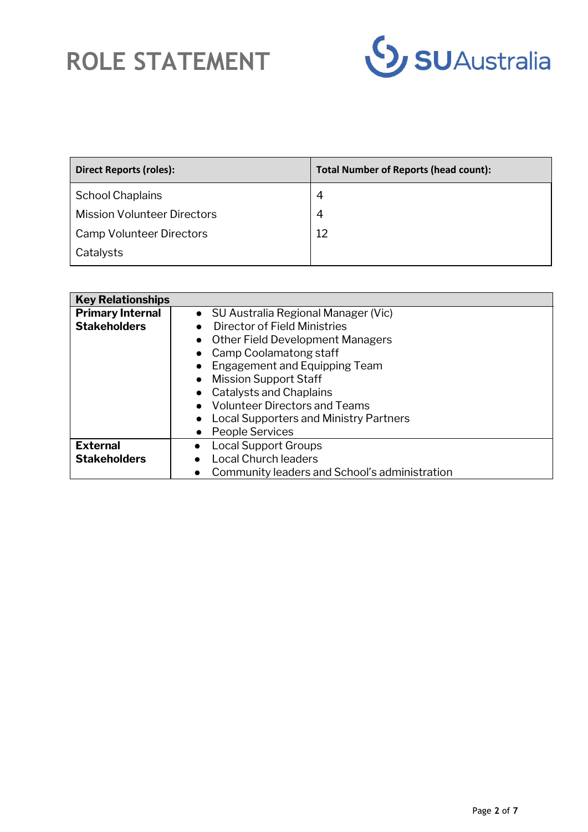

| <b>Direct Reports (roles):</b>     | <b>Total Number of Reports (head count):</b> |
|------------------------------------|----------------------------------------------|
| <b>School Chaplains</b>            | 4                                            |
| <b>Mission Volunteer Directors</b> | 4                                            |
| Camp Volunteer Directors           | 12                                           |
| Catalysts                          |                                              |

| <b>Key Relationships</b> |                                               |
|--------------------------|-----------------------------------------------|
| <b>Primary Internal</b>  | • SU Australia Regional Manager (Vic)         |
| <b>Stakeholders</b>      | Director of Field Ministries                  |
|                          | <b>Other Field Development Managers</b>       |
|                          | Camp Coolamatong staff                        |
|                          | Engagement and Equipping Team                 |
|                          | <b>Mission Support Staff</b>                  |
|                          | Catalysts and Chaplains                       |
|                          | <b>Volunteer Directors and Teams</b>          |
|                          | <b>Local Supporters and Ministry Partners</b> |
|                          | People Services                               |
| <b>External</b>          | Local Support Groups                          |
| <b>Stakeholders</b>      | <b>Local Church leaders</b>                   |
|                          | Community leaders and School's administration |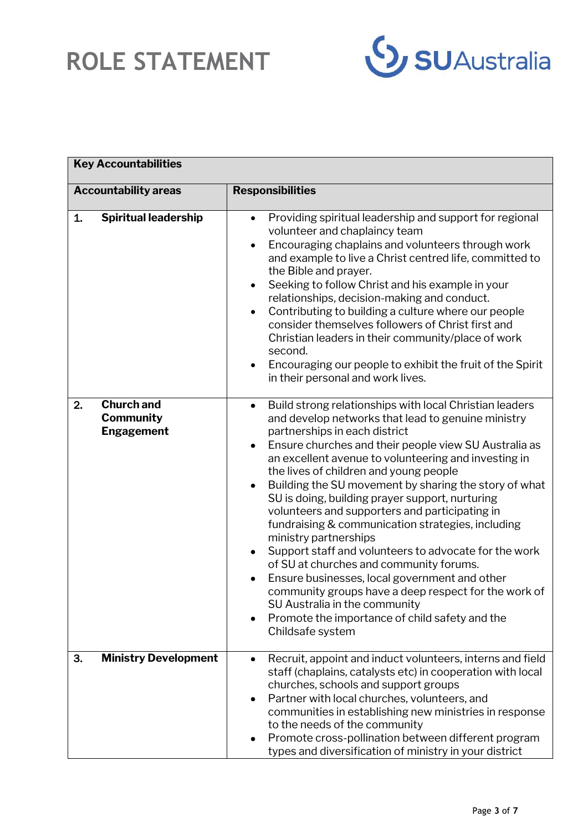

| <b>Key Accountabilities</b>                                      |                                                                                                                                                                                                                                                                                                                                                                                                                                                                                                                                                                                                                                                                                                                                                                                                                                                                                                                                                         |
|------------------------------------------------------------------|---------------------------------------------------------------------------------------------------------------------------------------------------------------------------------------------------------------------------------------------------------------------------------------------------------------------------------------------------------------------------------------------------------------------------------------------------------------------------------------------------------------------------------------------------------------------------------------------------------------------------------------------------------------------------------------------------------------------------------------------------------------------------------------------------------------------------------------------------------------------------------------------------------------------------------------------------------|
| <b>Accountability areas</b>                                      | <b>Responsibilities</b>                                                                                                                                                                                                                                                                                                                                                                                                                                                                                                                                                                                                                                                                                                                                                                                                                                                                                                                                 |
| <b>Spiritual leadership</b><br>1.                                | Providing spiritual leadership and support for regional<br>$\bullet$<br>volunteer and chaplaincy team<br>Encouraging chaplains and volunteers through work<br>$\bullet$<br>and example to live a Christ centred life, committed to<br>the Bible and prayer.<br>Seeking to follow Christ and his example in your<br>$\bullet$<br>relationships, decision-making and conduct.<br>Contributing to building a culture where our people<br>$\bullet$<br>consider themselves followers of Christ first and<br>Christian leaders in their community/place of work<br>second.<br>Encouraging our people to exhibit the fruit of the Spirit<br>$\bullet$<br>in their personal and work lives.                                                                                                                                                                                                                                                                    |
| <b>Church and</b><br>2.<br><b>Community</b><br><b>Engagement</b> | Build strong relationships with local Christian leaders<br>$\bullet$<br>and develop networks that lead to genuine ministry<br>partnerships in each district<br>Ensure churches and their people view SU Australia as<br>$\bullet$<br>an excellent avenue to volunteering and investing in<br>the lives of children and young people<br>Building the SU movement by sharing the story of what<br>$\bullet$<br>SU is doing, building prayer support, nurturing<br>volunteers and supporters and participating in<br>fundraising & communication strategies, including<br>ministry partnerships<br>Support staff and volunteers to advocate for the work<br>$\bullet$<br>of SU at churches and community forums.<br>Ensure businesses, local government and other<br>$\bullet$<br>community groups have a deep respect for the work of<br>SU Australia in the community<br>Promote the importance of child safety and the<br>$\bullet$<br>Childsafe system |
| <b>Ministry Development</b><br>3.                                | Recruit, appoint and induct volunteers, interns and field<br>$\bullet$<br>staff (chaplains, catalysts etc) in cooperation with local<br>churches, schools and support groups<br>Partner with local churches, volunteers, and<br>$\bullet$<br>communities in establishing new ministries in response<br>to the needs of the community<br>Promote cross-pollination between different program<br>٠<br>types and diversification of ministry in your district                                                                                                                                                                                                                                                                                                                                                                                                                                                                                              |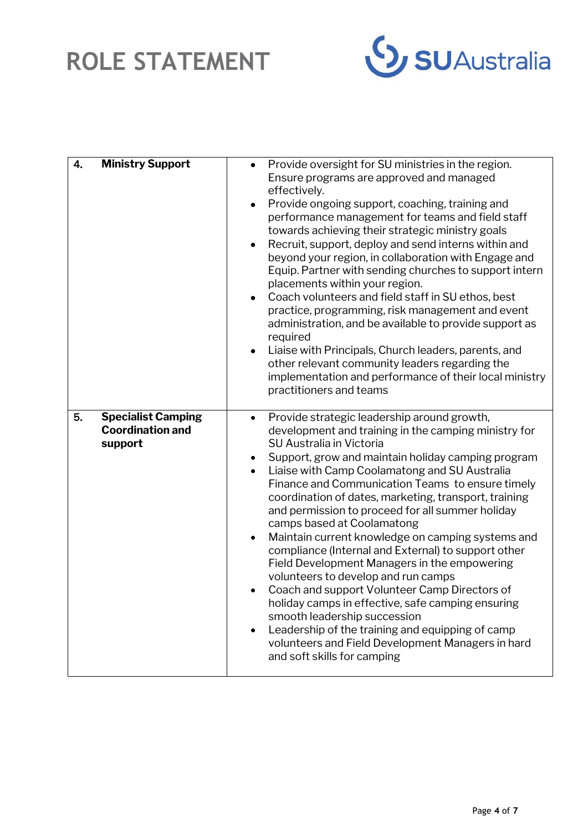

| 4. | <b>Ministry Support</b>                                         | Provide oversight for SU ministries in the region.<br>$\bullet$<br>Ensure programs are approved and managed<br>effectively.<br>Provide ongoing support, coaching, training and<br>$\bullet$<br>performance management for teams and field staff<br>towards achieving their strategic ministry goals<br>Recruit, support, deploy and send interns within and<br>$\bullet$<br>beyond your region, in collaboration with Engage and<br>Equip. Partner with sending churches to support intern<br>placements within your region.<br>Coach volunteers and field staff in SU ethos, best<br>$\bullet$<br>practice, programming, risk management and event<br>administration, and be available to provide support as<br>required<br>Liaise with Principals, Church leaders, parents, and<br>$\bullet$<br>other relevant community leaders regarding the<br>implementation and performance of their local ministry<br>practitioners and teams                                                                |
|----|-----------------------------------------------------------------|------------------------------------------------------------------------------------------------------------------------------------------------------------------------------------------------------------------------------------------------------------------------------------------------------------------------------------------------------------------------------------------------------------------------------------------------------------------------------------------------------------------------------------------------------------------------------------------------------------------------------------------------------------------------------------------------------------------------------------------------------------------------------------------------------------------------------------------------------------------------------------------------------------------------------------------------------------------------------------------------------|
| 5. | <b>Specialist Camping</b><br><b>Coordination and</b><br>support | Provide strategic leadership around growth,<br>$\bullet$<br>development and training in the camping ministry for<br>SU Australia in Victoria<br>Support, grow and maintain holiday camping program<br>$\bullet$<br>Liaise with Camp Coolamatong and SU Australia<br>$\bullet$<br>Finance and Communication Teams to ensure timely<br>coordination of dates, marketing, transport, training<br>and permission to proceed for all summer holiday<br>camps based at Coolamatong<br>Maintain current knowledge on camping systems and<br>$\bullet$<br>compliance (Internal and External) to support other<br>Field Development Managers in the empowering<br>volunteers to develop and run camps<br>Coach and support Volunteer Camp Directors of<br>$\bullet$<br>holiday camps in effective, safe camping ensuring<br>smooth leadership succession<br>Leadership of the training and equipping of camp<br>$\bullet$<br>volunteers and Field Development Managers in hard<br>and soft skills for camping |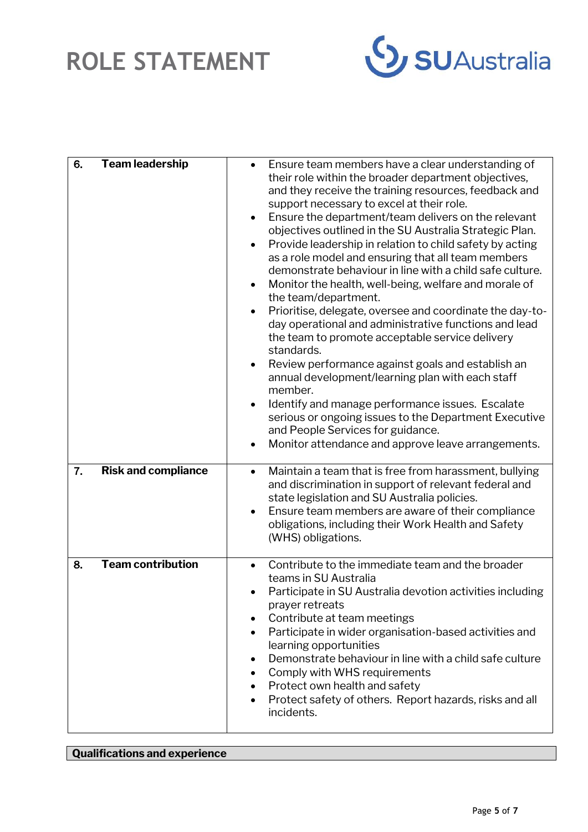

| 6. | <b>Team leadership</b>     | Ensure team members have a clear understanding of<br>$\bullet$<br>their role within the broader department objectives,<br>and they receive the training resources, feedback and<br>support necessary to excel at their role.<br>Ensure the department/team delivers on the relevant<br>$\bullet$<br>objectives outlined in the SU Australia Strategic Plan.<br>Provide leadership in relation to child safety by acting<br>$\bullet$<br>as a role model and ensuring that all team members<br>demonstrate behaviour in line with a child safe culture.<br>Monitor the health, well-being, welfare and morale of<br>the team/department.<br>Prioritise, delegate, oversee and coordinate the day-to-<br>$\bullet$<br>day operational and administrative functions and lead<br>the team to promote acceptable service delivery<br>standards.<br>Review performance against goals and establish an<br>$\bullet$<br>annual development/learning plan with each staff<br>member.<br>Identify and manage performance issues. Escalate<br>$\bullet$<br>serious or ongoing issues to the Department Executive<br>and People Services for guidance.<br>Monitor attendance and approve leave arrangements. |
|----|----------------------------|--------------------------------------------------------------------------------------------------------------------------------------------------------------------------------------------------------------------------------------------------------------------------------------------------------------------------------------------------------------------------------------------------------------------------------------------------------------------------------------------------------------------------------------------------------------------------------------------------------------------------------------------------------------------------------------------------------------------------------------------------------------------------------------------------------------------------------------------------------------------------------------------------------------------------------------------------------------------------------------------------------------------------------------------------------------------------------------------------------------------------------------------------------------------------------------------------|
| 7. | <b>Risk and compliance</b> | Maintain a team that is free from harassment, bullying<br>$\bullet$<br>and discrimination in support of relevant federal and<br>state legislation and SU Australia policies.<br>Ensure team members are aware of their compliance<br>$\bullet$<br>obligations, including their Work Health and Safety<br>(WHS) obligations.                                                                                                                                                                                                                                                                                                                                                                                                                                                                                                                                                                                                                                                                                                                                                                                                                                                                      |
| 8. | <b>Team contribution</b>   | Contribute to the immediate team and the broader<br>$\bullet$<br>teams in SU Australia<br>Participate in SU Australia devotion activities including<br>prayer retreats<br>Contribute at team meetings<br>$\bullet$<br>Participate in wider organisation-based activities and<br>$\bullet$<br>learning opportunities<br>Demonstrate behaviour in line with a child safe culture<br>$\bullet$<br>Comply with WHS requirements<br>$\bullet$<br>Protect own health and safety<br>$\bullet$<br>Protect safety of others. Report hazards, risks and all<br>$\bullet$<br>incidents.                                                                                                                                                                                                                                                                                                                                                                                                                                                                                                                                                                                                                     |

### **Qualifications and experience**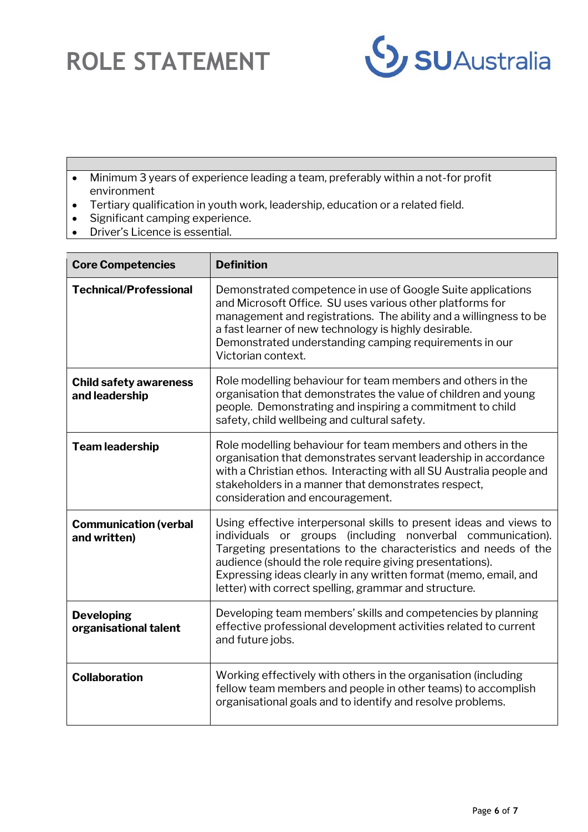

- Minimum 3 years of experience leading a team, preferably within a not-for profit environment
- Tertiary qualification in youth work, leadership, education or a related field.
- Significant camping experience.
- Driver's Licence is essential.

| <b>Core Competencies</b>                        | <b>Definition</b>                                                                                                                                                                                                                                                                                                                                                                            |
|-------------------------------------------------|----------------------------------------------------------------------------------------------------------------------------------------------------------------------------------------------------------------------------------------------------------------------------------------------------------------------------------------------------------------------------------------------|
| <b>Technical/Professional</b>                   | Demonstrated competence in use of Google Suite applications<br>and Microsoft Office. SU uses various other platforms for<br>management and registrations. The ability and a willingness to be<br>a fast learner of new technology is highly desirable.<br>Demonstrated understanding camping requirements in our<br>Victorian context.                                                       |
| <b>Child safety awareness</b><br>and leadership | Role modelling behaviour for team members and others in the<br>organisation that demonstrates the value of children and young<br>people. Demonstrating and inspiring a commitment to child<br>safety, child wellbeing and cultural safety.                                                                                                                                                   |
| <b>Team leadership</b>                          | Role modelling behaviour for team members and others in the<br>organisation that demonstrates servant leadership in accordance<br>with a Christian ethos. Interacting with all SU Australia people and<br>stakeholders in a manner that demonstrates respect,<br>consideration and encouragement.                                                                                            |
| <b>Communication (verbal</b><br>and written)    | Using effective interpersonal skills to present ideas and views to<br>individuals or groups (including nonverbal communication).<br>Targeting presentations to the characteristics and needs of the<br>audience (should the role require giving presentations).<br>Expressing ideas clearly in any written format (memo, email, and<br>letter) with correct spelling, grammar and structure. |
| <b>Developing</b><br>organisational talent      | Developing team members' skills and competencies by planning<br>effective professional development activities related to current<br>and future jobs.                                                                                                                                                                                                                                         |
| <b>Collaboration</b>                            | Working effectively with others in the organisation (including<br>fellow team members and people in other teams) to accomplish<br>organisational goals and to identify and resolve problems.                                                                                                                                                                                                 |